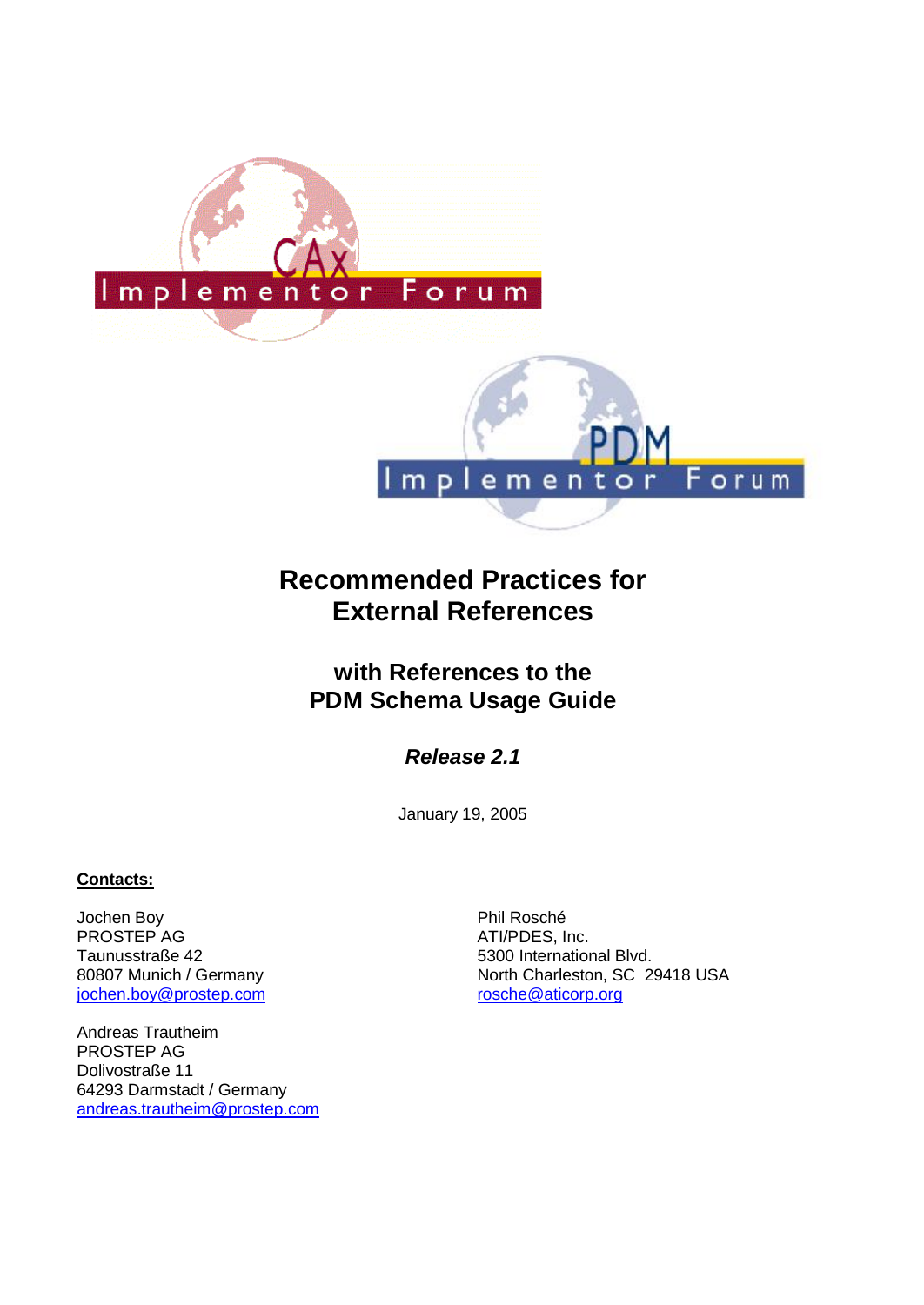

# **Recommended Practices for External References**

# **with References to the PDM Schema Usage Guide**

*Release 2.1*

January 19, 2005

# **Contacts:**

Jochen Boy PROSTEP AG Taunusstraße 42 80807 Munich / Germany jochen.boy@prostep.com

Andreas Trautheim PROSTEP AG Dolivostraße 11 64293 Darmstadt / Germany andreas.trautheim@prostep.com Phil Rosché ATI/PDES, Inc. 5300 International Blvd. North Charleston, SC 29418 USA rosche@aticorp.org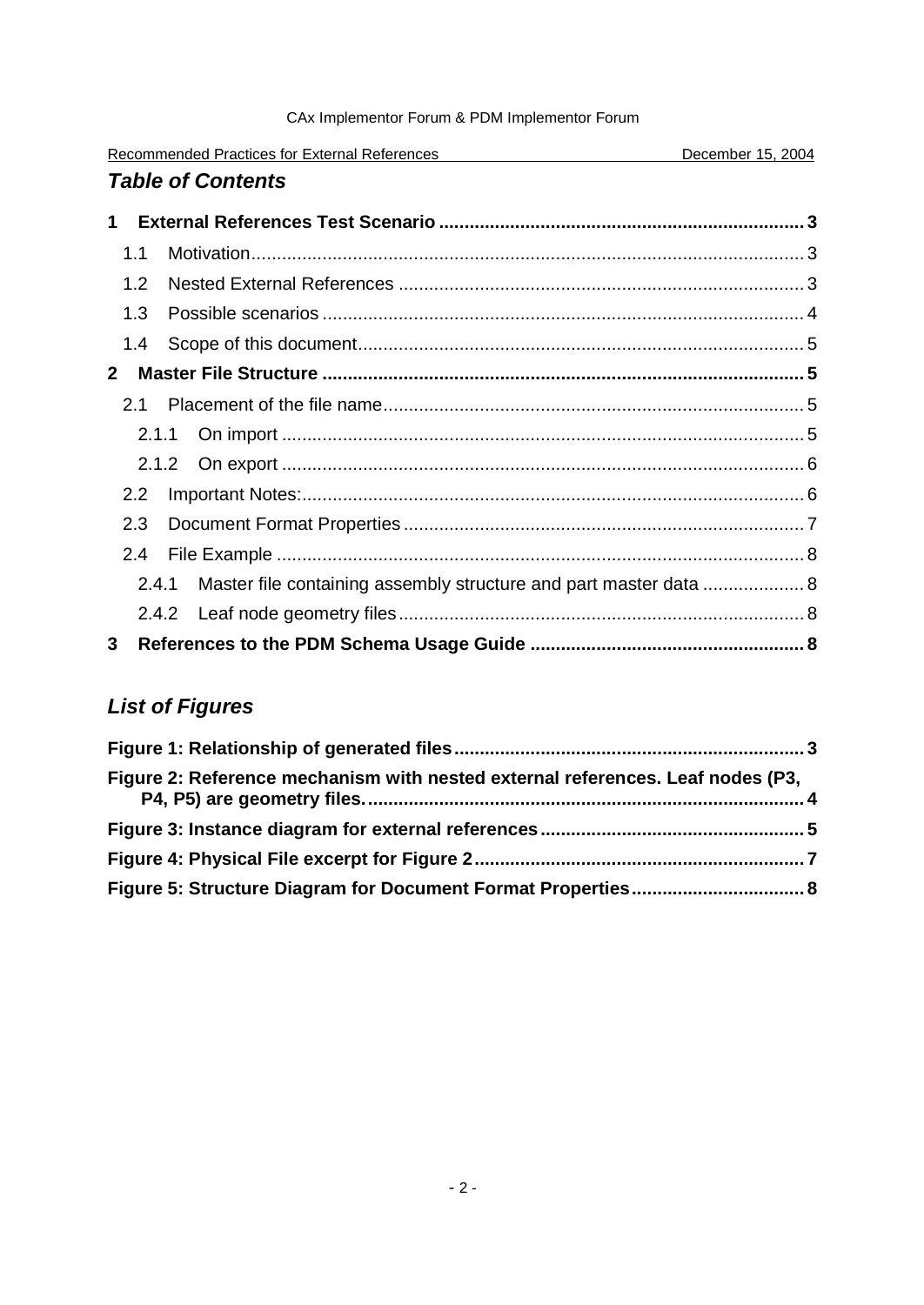| Recommended Practices for External References | December 15, 2004 |
|-----------------------------------------------|-------------------|
| <b>Table of Contents</b>                      |                   |

| 1            |               |                                                                   |  |
|--------------|---------------|-------------------------------------------------------------------|--|
|              | 1.1           |                                                                   |  |
|              | 1.2           |                                                                   |  |
|              | 1.3           |                                                                   |  |
|              | 1.4           |                                                                   |  |
| $\mathbf{2}$ |               |                                                                   |  |
|              | 2.1           |                                                                   |  |
|              |               |                                                                   |  |
|              |               |                                                                   |  |
|              | $2.2^{\circ}$ |                                                                   |  |
|              | 2.3           |                                                                   |  |
|              | 2.4           |                                                                   |  |
|              | 2.4.1         | Master file containing assembly structure and part master data  8 |  |
|              |               |                                                                   |  |
| 3            |               |                                                                   |  |

# *List of Figures*

| Figure 2: Reference mechanism with nested external references. Leaf nodes (P3, |  |
|--------------------------------------------------------------------------------|--|
|                                                                                |  |
|                                                                                |  |
|                                                                                |  |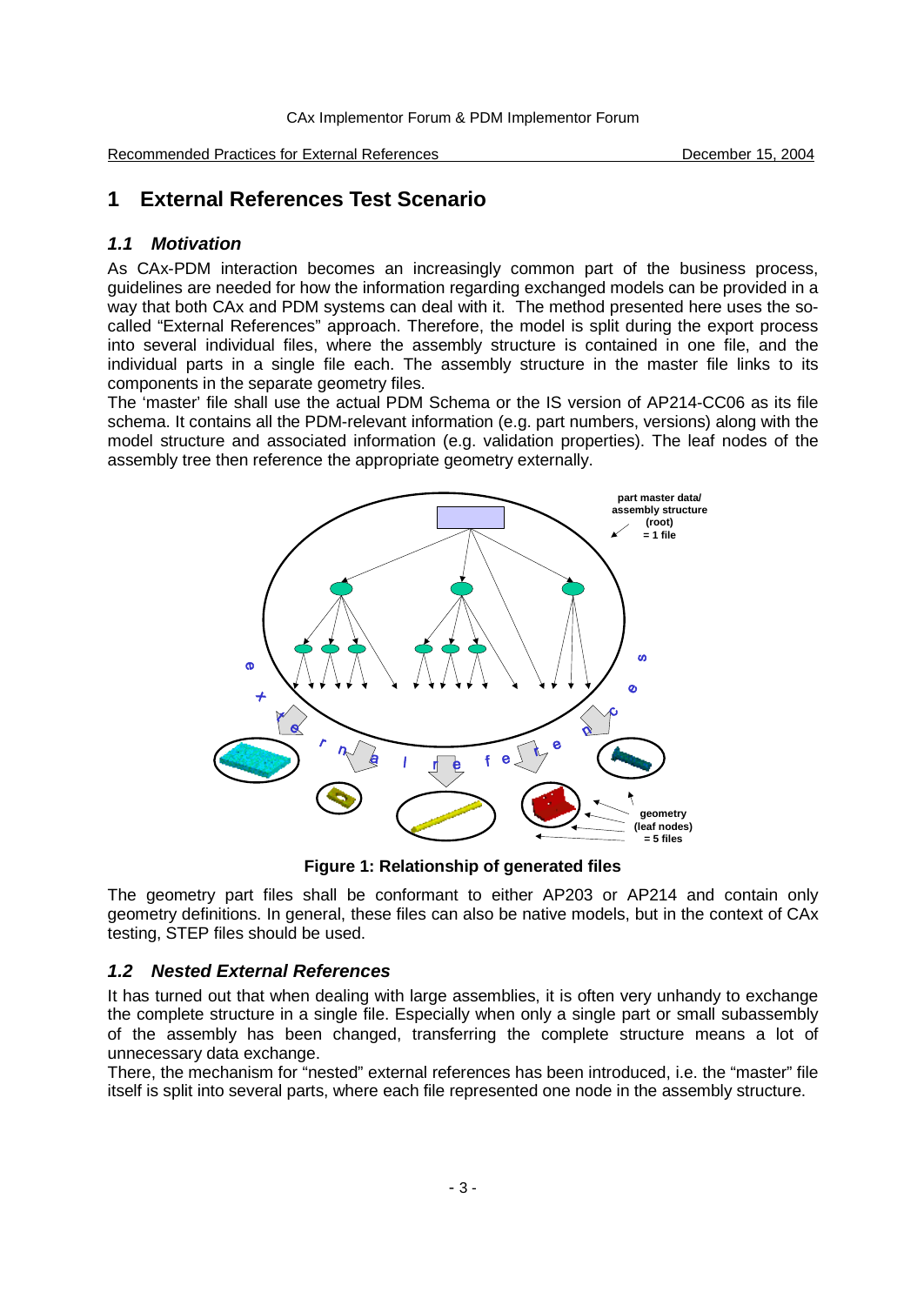Recommended Practices for External References **December 15, 2004** 

# **1 External References Test Scenario**

## *1.1 Motivation*

As CAx-PDM interaction becomes an increasingly common part of the business process, guidelines are needed for how the information regarding exchanged models can be provided in a way that both CAx and PDM systems can deal with it. The method presented here uses the socalled "External References" approach. Therefore, the model is split during the export process into several individual files, where the assembly structure is contained in one file, and the individual parts in a single file each. The assembly structure in the master file links to its components in the separate geometry files.

The 'master' file shall use the actual PDM Schema or the IS version of AP214-CC06 as its file schema. It contains all the PDM-relevant information (e.g. part numbers, versions) along with the model structure and associated information (e.g. validation properties). The leaf nodes of the assembly tree then reference the appropriate geometry externally.



**Figure 1: Relationship of generated files**

The geometry part files shall be conformant to either AP203 or AP214 and contain only geometry definitions. In general, these files can also be native models, but in the context of CAx testing, STEP files should be used.

## *1.2 Nested External References*

It has turned out that when dealing with large assemblies, it is often very unhandy to exchange the complete structure in a single file. Especially when only a single part or small subassembly of the assembly has been changed, transferring the complete structure means a lot of unnecessary data exchange.

There, the mechanism for "nested" external references has been introduced, i.e. the "master" file itself is split into several parts, where each file represented one node in the assembly structure.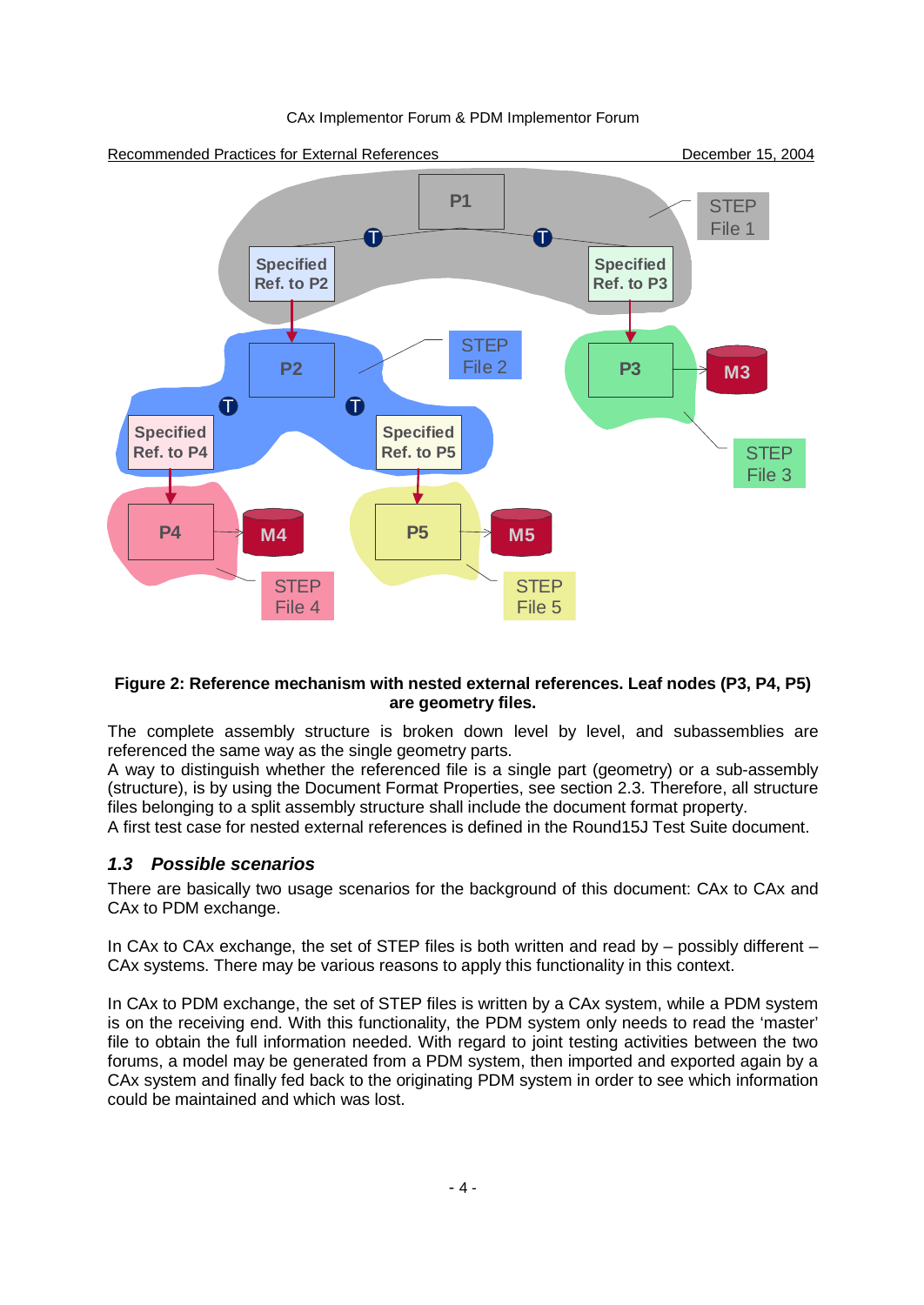

#### **Figure 2: Reference mechanism with nested external references. Leaf nodes (P3, P4, P5) are geometry files.**

The complete assembly structure is broken down level by level, and subassemblies are referenced the same way as the single geometry parts.

A way to distinguish whether the referenced file is a single part (geometry) or a sub-assembly (structure), is by using the Document Format Properties, see section 2.3. Therefore, all structure files belonging to a split assembly structure shall include the document format property.

A first test case for nested external references is defined in the Round15J Test Suite document.

## *1.3 Possible scenarios*

There are basically two usage scenarios for the background of this document: CAx to CAx and CAx to PDM exchange.

In CAx to CAx exchange, the set of STEP files is both written and read by  $-$  possibly different  $-$ CAx systems. There may be various reasons to apply this functionality in this context.

In CAx to PDM exchange, the set of STEP files is written by a CAx system, while a PDM system is on the receiving end. With this functionality, the PDM system only needs to read the 'master' file to obtain the full information needed. With regard to joint testing activities between the two forums, a model may be generated from a PDM system, then imported and exported again by a CAx system and finally fed back to the originating PDM system in order to see which information could be maintained and which was lost.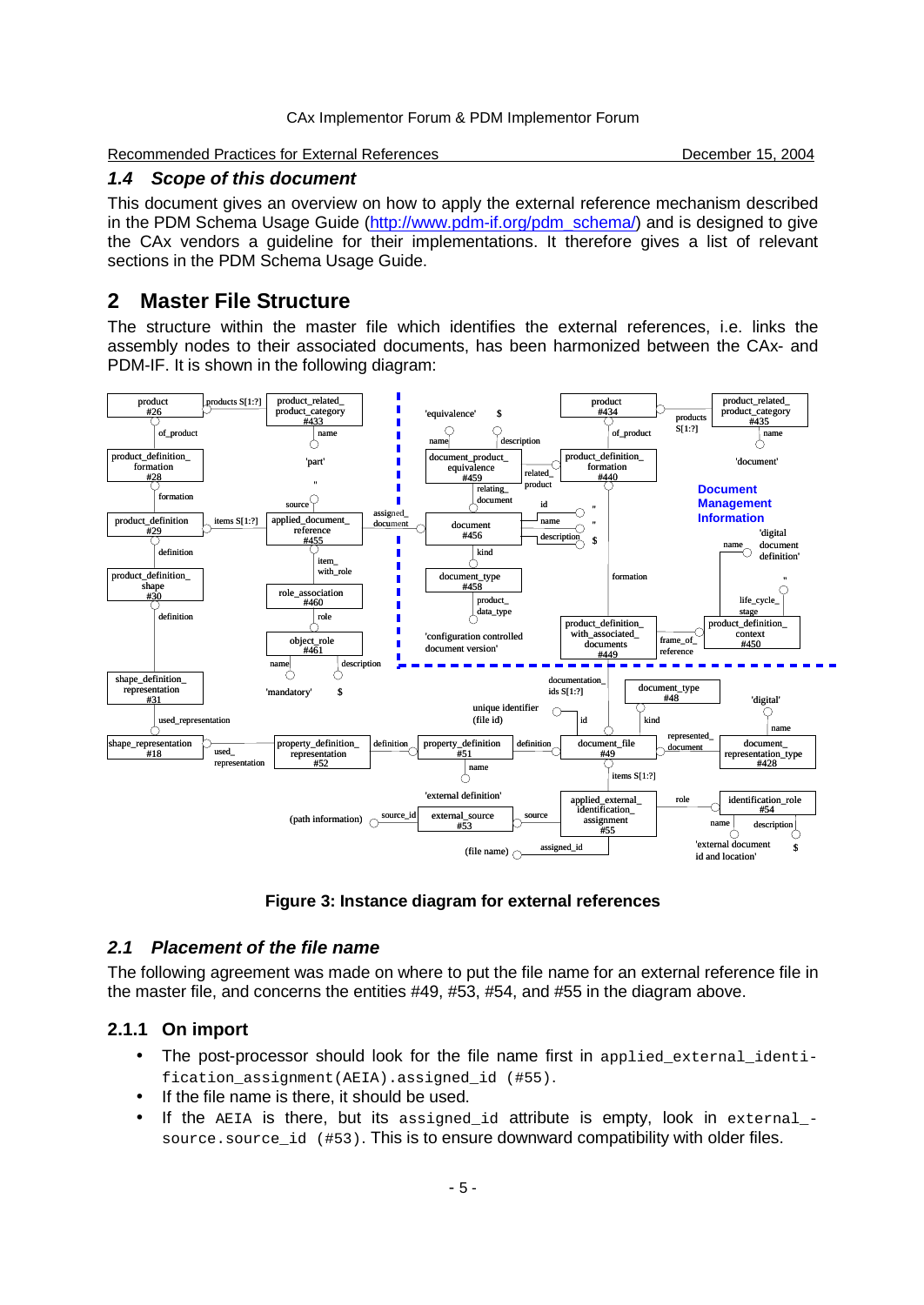Recommended Practices for External References **December 15, 2004** December 15, 2004

#### *1.4 Scope of this document*

This document gives an overview on how to apply the external reference mechanism described in the PDM Schema Usage Guide (http://www.pdm-if.org/pdm\_schema/) and is designed to give the CAx vendors a guideline for their implementations. It therefore gives a list of relevant sections in the PDM Schema Usage Guide.

# **2 Master File Structure**

The structure within the master file which identifies the external references, i.e. links the assembly nodes to their associated documents, has been harmonized between the CAx- and PDM-IF. It is shown in the following diagram:





## *2.1 Placement of the file name*

The following agreement was made on where to put the file name for an external reference file in the master file, and concerns the entities #49, #53, #54, and #55 in the diagram above.

# **2.1.1 On import**

- The post-processor should look for the file name first in applied external identification\_assignment(AEIA).assigned\_id (#55).
- If the file name is there, it should be used.
- If the  $AEIA$  is there, but its assigned id attribute is empty, look in external source.source\_id (#53). This is to ensure downward compatibility with older files.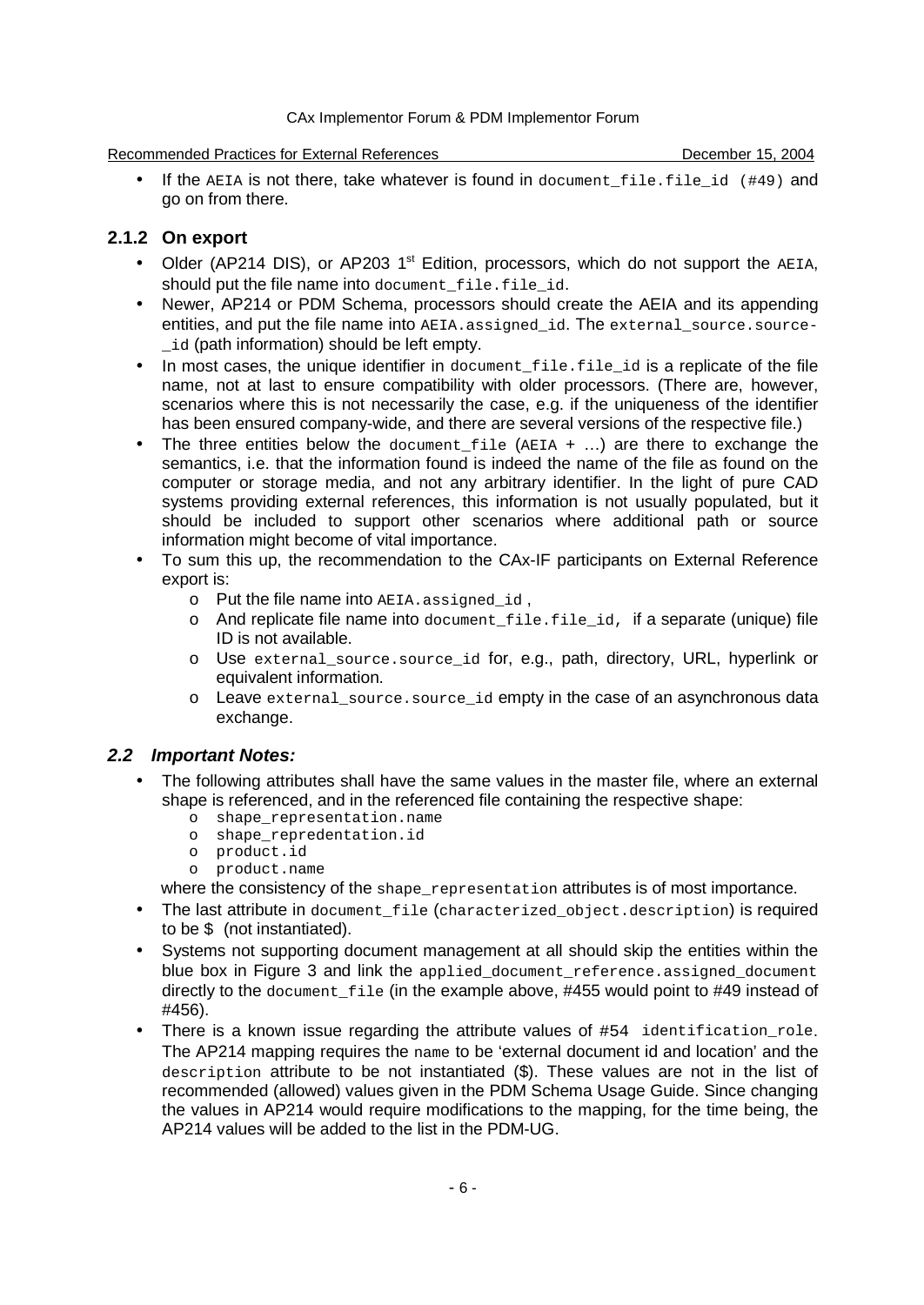#### Recommended Practices for External References **December 15, 2004**

If the AEIA is not there, take whatever is found in document file.file id  $(449)$  and go on from there.

## **2.1.2 On export**

- Older (AP214 DIS), or AP203 1<sup>st</sup> Edition, processors, which do not support the AEIA, should put the file name into document\_file.file\_id.
- Newer, AP214 or PDM Schema, processors should create the AEIA and its appending entities, and put the file name into AEIA.assigned\_id. The external\_source.sourceid (path information) should be left empty.
- In most cases, the unique identifier in document file.file id is a replicate of the file name, not at last to ensure compatibility with older processors. (There are, however, scenarios where this is not necessarily the case, e.g. if the uniqueness of the identifier has been ensured company-wide, and there are several versions of the respective file.)
- The three entities below the document  $file$  (AEIA  $+$  ...) are there to exchange the semantics, i.e. that the information found is indeed the name of the file as found on the computer or storage media, and not any arbitrary identifier. In the light of pure CAD systems providing external references, this information is not usually populated, but it should be included to support other scenarios where additional path or source information might become of vital importance.
- To sum this up, the recommendation to the CAx-IF participants on External Reference export is:
	- o Put the file name into AEIA.assigned id,
	- $\circ$  And replicate file name into document file.file id, if a separate (unique) file ID is not available.
	- o Use external\_source.source\_id for, e.g., path, directory, URL, hyperlink or equivalent information.
	- o Leave external\_source.source\_id empty in the case of an asynchronous data exchange.

# *2.2 Important Notes:*

- The following attributes shall have the same values in the master file, where an external shape is referenced, and in the referenced file containing the respective shape:
	- o shape\_representation.name
	- o shape\_repredentation.id
	- o product.id
	- o product.name

where the consistency of the shape\_representation attributes is of most importance.

- The last attribute in document\_file (characterized\_object.description) is required to be  $\sin$  (not instantiated).
- Systems not supporting document management at all should skip the entities within the blue box in Figure 3 and link the applied\_document\_reference.assigned\_document directly to the document\_file (in the example above, #455 would point to #49 instead of #456).
- There is a known issue regarding the attribute values of  $#54$  identification role. The AP214 mapping requires the name to be 'external document id and location' and the description attribute to be not instantiated (\$). These values are not in the list of recommended (allowed) values given in the PDM Schema Usage Guide. Since changing the values in AP214 would require modifications to the mapping, for the time being, the AP214 values will be added to the list in the PDM-UG.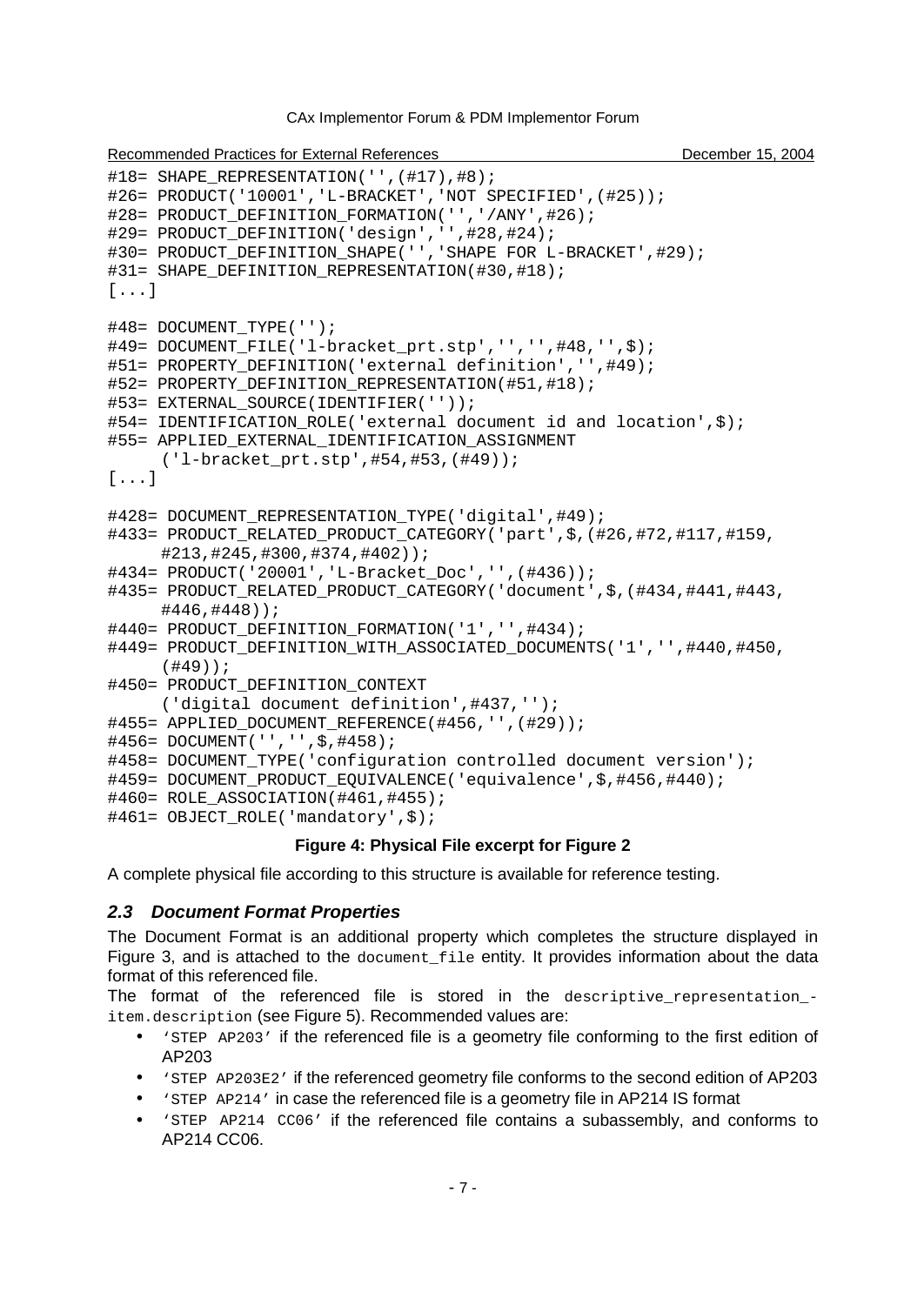```
Recommended Practices for External References December 15, 2004 December 15, 2004
#18= SHAPE REPRESENTATION('',(#17),#8);
#26= PRODUCT('10001','L-BRACKET','NOT SPECIFIED',(#25));
#28= PRODUCT DEFINITION FORMATION('','/ANY',#26);
#29= PRODUCT DEFINITION('design','',#28,#24);
#30= PRODUCT_DEFINITION_SHAPE('','SHAPE FOR L-BRACKET',#29);
#31= SHAPE_DEFINITION_REPRESENTATION(#30,#18);
[...]
#48= DOCUMENT_TYPE('');
#49= DOCUMENT_FILE('l-bracket_prt.stp','','',#48,'',$);
#51= PROPERTY_DEFINITION('external definition','',#49);
#52= PROPERTY_DEFINITION_REPRESENTATION(#51,#18);
#53= EXTERNAL_SOURCE(IDENTIFIER(''));
#54= IDENTIFICATION_ROLE('external document id and location',$);
#55= APPLIED_EXTERNAL_IDENTIFICATION_ASSIGNMENT
     ('l-bracket_prt.stp',#54,#53,(#49));
[...]
#428= DOCUMENT REPRESENTATION TYPE('digital',#49);
#433= PRODUCT_RELATED_PRODUCT_CATEGORY('part',$,(#26,#72,#117,#159,
     #213,#245,#300,#374,#402));
#434= PRODUCT('20001','L-Bracket_Doc','',(#436));
#435= PRODUCT_RELATED_PRODUCT_CATEGORY('document',$,(#434,#441,#443,
     #446,#448));
#440= PRODUCT DEFINITION FORMATION('1','',#434);
#449= PRODUCT DEFINITION WITH ASSOCIATED DOCUMENTS('1','',#440,#450,
     (#49));
#450= PRODUCT DEFINITION CONTEXT
     ('digital document definition',#437,'');
#455= APPLIED_DOCUMENT_REFERENCE(#456,'',(#29));
#456= DOCUMENT('','',$,#458);
#458= DOCUMENT_TYPE('configuration controlled document version');
#459= DOCUMENT_PRODUCT_EQUIVALENCE('equivalence',$,#456,#440);
#460= ROLE_ASSOCIATION(#461,#455);
#461= OBJECT_ROLE('mandatory',$);
```
#### **Figure 4: Physical File excerpt for Figure 2**

A complete physical file according to this structure is available for reference testing.

#### *2.3 Document Format Properties*

The Document Format is an additional property which completes the structure displayed in Figure 3, and is attached to the document\_file entity. It provides information about the data format of this referenced file.

The format of the referenced file is stored in the descriptive\_representation\_ item.description (see Figure 5). Recommended values are:

- 'STEP AP203' if the referenced file is a geometry file conforming to the first edition of AP203
- 'STEP AP203E2' if the referenced geometry file conforms to the second edition of AP203
- 'STEP AP214' in case the referenced file is a geometry file in AP214 IS format
- 'STEP AP214 CC06' if the referenced file contains a subassembly, and conforms to AP214 CC06.